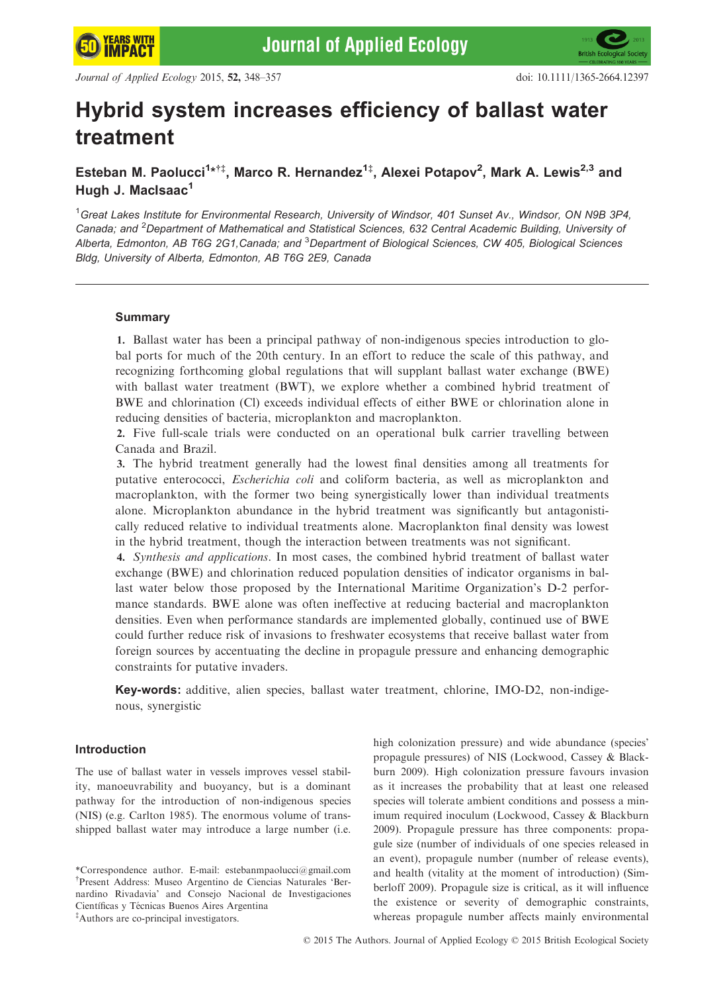

# Hybrid system increases efficiency of ballast water treatment

Esteban M. Paolucci<sup>1</sup>\*<sup>†‡</sup>, Marco R. Hernandez<sup>1‡</sup>, Alexei Potapov<sup>2</sup>, Mark A. Lewis<sup>2,3</sup> and Hugh J. MacIsaac<sup>1</sup>

<sup>1</sup>Great Lakes Institute for Environmental Research, University of Windsor, 401 Sunset Av., Windsor, ON N9B 3P4, Canada; and <sup>2</sup>Department of Mathematical and Statistical Sciences, 632 Central Academic Building, University oi Alberta, Edmonton, AB T6G 2G1,Canada; and <sup>3</sup>Department of Biological Sciences, CW 405, Biological Sciences Bldg, University of Alberta, Edmonton, AB T6G 2E9, Canada

### Summary

1. Ballast water has been a principal pathway of non-indigenous species introduction to global ports for much of the 20th century. In an effort to reduce the scale of this pathway, and recognizing forthcoming global regulations that will supplant ballast water exchange (BWE) with ballast water treatment (BWT), we explore whether a combined hybrid treatment of BWE and chlorination (Cl) exceeds individual effects of either BWE or chlorination alone in reducing densities of bacteria, microplankton and macroplankton.

2. Five full-scale trials were conducted on an operational bulk carrier travelling between Canada and Brazil.

3. The hybrid treatment generally had the lowest final densities among all treatments for putative enterococci, Escherichia coli and coliform bacteria, as well as microplankton and macroplankton, with the former two being synergistically lower than individual treatments alone. Microplankton abundance in the hybrid treatment was significantly but antagonistically reduced relative to individual treatments alone. Macroplankton final density was lowest in the hybrid treatment, though the interaction between treatments was not significant.

4. Synthesis and applications. In most cases, the combined hybrid treatment of ballast water exchange (BWE) and chlorination reduced population densities of indicator organisms in ballast water below those proposed by the International Maritime Organization's D-2 performance standards. BWE alone was often ineffective at reducing bacterial and macroplankton densities. Even when performance standards are implemented globally, continued use of BWE could further reduce risk of invasions to freshwater ecosystems that receive ballast water from foreign sources by accentuating the decline in propagule pressure and enhancing demographic constraints for putative invaders.

Key-words: additive, alien species, ballast water treatment, chlorine, IMO-D2, non-indigenous, synergistic

# Introduction

The use of ballast water in vessels improves vessel stability, manoeuvrability and buoyancy, but is a dominant pathway for the introduction of non-indigenous species (NIS) (e.g. Carlton 1985). The enormous volume of transshipped ballast water may introduce a large number (i.e.

high colonization pressure) and wide abundance (species' propagule pressures) of NIS (Lockwood, Cassey & Blackburn 2009). High colonization pressure favours invasion as it increases the probability that at least one released species will tolerate ambient conditions and possess a minimum required inoculum (Lockwood, Cassey & Blackburn 2009). Propagule pressure has three components: propagule size (number of individuals of one species released in an event), propagule number (number of release events), and health (vitality at the moment of introduction) (Simberloff 2009). Propagule size is critical, as it will influence the existence or severity of demographic constraints, whereas propagule number affects mainly environmental

<sup>\*</sup>Correspondence author. E-mail: estebanmpaolucci@gmail.com † Present Address: Museo Argentino de Ciencias Naturales 'Bernardino Rivadavia' and Consejo Nacional de Investigaciones Científicas y Técnicas Buenos Aires Argentina ‡ Authors are co-principal investigators.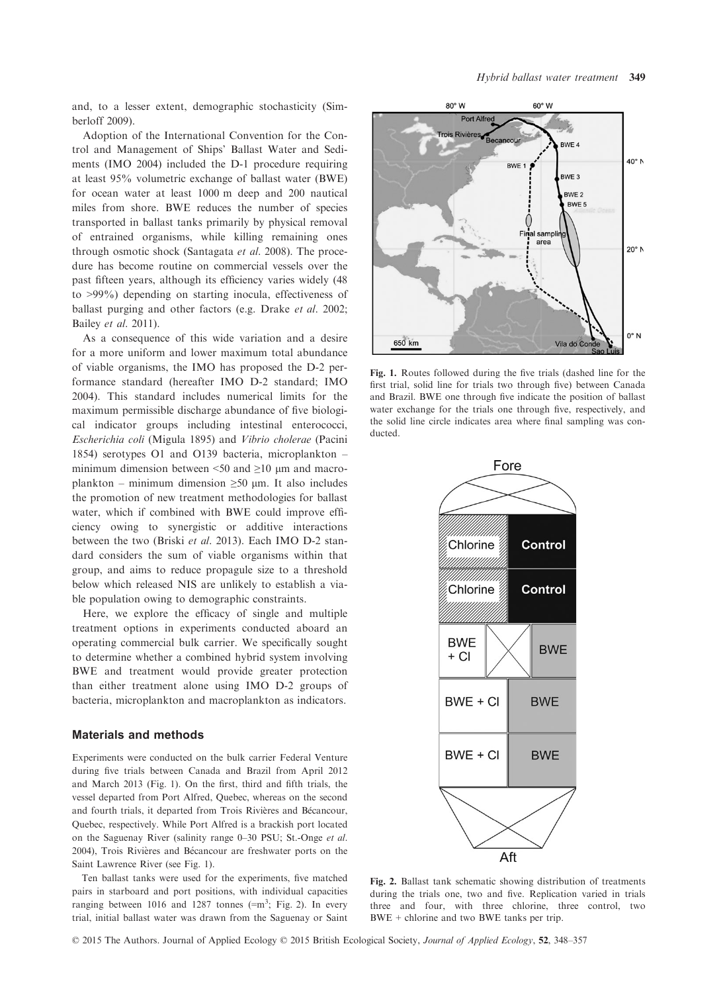and, to a lesser extent, demographic stochasticity (Simberloff 2009).

Adoption of the International Convention for the Control and Management of Ships' Ballast Water and Sediments (IMO 2004) included the D-1 procedure requiring at least 95% volumetric exchange of ballast water (BWE) for ocean water at least 1000 m deep and 200 nautical miles from shore. BWE reduces the number of species transported in ballast tanks primarily by physical removal of entrained organisms, while killing remaining ones through osmotic shock (Santagata et al. 2008). The procedure has become routine on commercial vessels over the past fifteen years, although its efficiency varies widely (48 to >99%) depending on starting inocula, effectiveness of ballast purging and other factors (e.g. Drake et al. 2002; Bailey et al. 2011).

As a consequence of this wide variation and a desire for a more uniform and lower maximum total abundance of viable organisms, the IMO has proposed the D-2 performance standard (hereafter IMO D-2 standard; IMO 2004). This standard includes numerical limits for the maximum permissible discharge abundance of five biological indicator groups including intestinal enterococci, Escherichia coli (Migula 1895) and Vibrio cholerae (Pacini 1854) serotypes O1 and O139 bacteria, microplankton – minimum dimension between  $\leq 50$  and  $\geq 10$  µm and macroplankton – minimum dimension  $\geq 50$  µm. It also includes the promotion of new treatment methodologies for ballast water, which if combined with BWE could improve efficiency owing to synergistic or additive interactions between the two (Briski et al. 2013). Each IMO D-2 standard considers the sum of viable organisms within that group, and aims to reduce propagule size to a threshold below which released NIS are unlikely to establish a viable population owing to demographic constraints.

Here, we explore the efficacy of single and multiple treatment options in experiments conducted aboard an operating commercial bulk carrier. We specifically sought to determine whether a combined hybrid system involving BWE and treatment would provide greater protection than either treatment alone using IMO D-2 groups of bacteria, microplankton and macroplankton as indicators.

#### Materials and methods

Experiments were conducted on the bulk carrier Federal Venture during five trials between Canada and Brazil from April 2012 and March 2013 (Fig. 1). On the first, third and fifth trials, the vessel departed from Port Alfred, Quebec, whereas on the second and fourth trials, it departed from Trois Rivières and Bécancour, Quebec, respectively. While Port Alfred is a brackish port located on the Saguenay River (salinity range 0–30 PSU; St.-Onge et al. 2004), Trois Rivieres and Becancour are freshwater ports on the Saint Lawrence River (see Fig. 1).

Ten ballast tanks were used for the experiments, five matched pairs in starboard and port positions, with individual capacities ranging between 1016 and 1287 tonnes  $(=m^3;$  Fig. 2). In every trial, initial ballast water was drawn from the Saguenay or Saint



Fig. 1. Routes followed during the five trials (dashed line for the first trial, solid line for trials two through five) between Canada and Brazil. BWE one through five indicate the position of ballast water exchange for the trials one through five, respectively, and the solid line circle indicates area where final sampling was conducted.



Fig. 2. Ballast tank schematic showing distribution of treatments during the trials one, two and five. Replication varied in trials three and four, with three chlorine, three control, two BWE + chlorine and two BWE tanks per trip.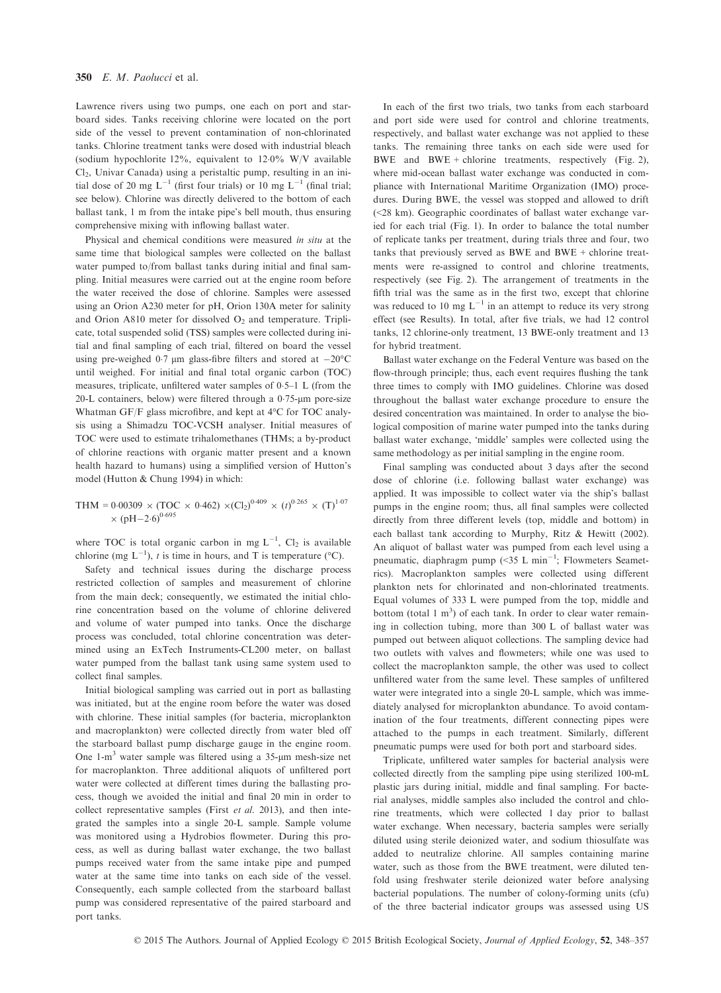Lawrence rivers using two pumps, one each on port and starboard sides. Tanks receiving chlorine were located on the port side of the vessel to prevent contamination of non-chlorinated tanks. Chlorine treatment tanks were dosed with industrial bleach (sodium hypochlorite 12%, equivalent to  $12.0\%$  W/V available  $Cl<sub>2</sub>$ , Univar Canada) using a peristaltic pump, resulting in an initial dose of 20 mg  $L^{-1}$  (first four trials) or 10 mg  $L^{-1}$  (final trial; see below). Chlorine was directly delivered to the bottom of each ballast tank, 1 m from the intake pipe's bell mouth, thus ensuring comprehensive mixing with inflowing ballast water.

Physical and chemical conditions were measured in situ at the same time that biological samples were collected on the ballast water pumped to/from ballast tanks during initial and final sampling. Initial measures were carried out at the engine room before the water received the dose of chlorine. Samples were assessed using an Orion A230 meter for pH, Orion 130A meter for salinity and Orion A810 meter for dissolved  $O_2$  and temperature. Triplicate, total suspended solid (TSS) samples were collected during initial and final sampling of each trial, filtered on board the vessel using pre-weighed 0.7  $\mu$ m glass-fibre filters and stored at  $-20^{\circ}$ C until weighed. For initial and final total organic carbon (TOC) measures, triplicate, unfiltered water samples of 05–1 L (from the 20-L containers, below) were filtered through a  $0.75$ - $\mu$ m pore-size Whatman GF/F glass microfibre, and kept at 4°C for TOC analysis using a Shimadzu TOC-VCSH analyser. Initial measures of TOC were used to estimate trihalomethanes (THMs; a by-product of chlorine reactions with organic matter present and a known health hazard to humans) using a simplified version of Hutton's model (Hutton & Chung 1994) in which:

$$
\text{THM} = 0.00309 \times (\text{TOC} \times 0.462) \times (\text{Cl}_2)^{0.409} \times (t)^{0.265} \times (\text{T})^{1.07} \times (\text{pH} - 2.6)^{0.695}
$$

where TOC is total organic carbon in mg  $L^{-1}$ , Cl<sub>2</sub> is available chlorine (mg  $L^{-1}$ ), t is time in hours, and T is temperature (°C).

Safety and technical issues during the discharge process restricted collection of samples and measurement of chlorine from the main deck; consequently, we estimated the initial chlorine concentration based on the volume of chlorine delivered and volume of water pumped into tanks. Once the discharge process was concluded, total chlorine concentration was determined using an ExTech Instruments-CL200 meter, on ballast water pumped from the ballast tank using same system used to collect final samples.

Initial biological sampling was carried out in port as ballasting was initiated, but at the engine room before the water was dosed with chlorine. These initial samples (for bacteria, microplankton and macroplankton) were collected directly from water bled off the starboard ballast pump discharge gauge in the engine room. One  $1-m<sup>3</sup>$  water sample was filtered using a 35-µm mesh-size net for macroplankton. Three additional aliquots of unfiltered port water were collected at different times during the ballasting process, though we avoided the initial and final 20 min in order to collect representative samples (First et al. 2013), and then integrated the samples into a single 20-L sample. Sample volume was monitored using a Hydrobios flowmeter. During this process, as well as during ballast water exchange, the two ballast pumps received water from the same intake pipe and pumped water at the same time into tanks on each side of the vessel. Consequently, each sample collected from the starboard ballast pump was considered representative of the paired starboard and port tanks.

In each of the first two trials, two tanks from each starboard and port side were used for control and chlorine treatments, respectively, and ballast water exchange was not applied to these tanks. The remaining three tanks on each side were used for BWE and BWE + chlorine treatments, respectively (Fig. 2), where mid-ocean ballast water exchange was conducted in compliance with International Maritime Organization (IMO) procedures. During BWE, the vessel was stopped and allowed to drift (<28 km). Geographic coordinates of ballast water exchange varied for each trial (Fig. 1). In order to balance the total number of replicate tanks per treatment, during trials three and four, two tanks that previously served as BWE and BWE + chlorine treatments were re-assigned to control and chlorine treatments, respectively (see Fig. 2). The arrangement of treatments in the fifth trial was the same as in the first two, except that chlorine was reduced to 10 mg  $L^{-1}$  in an attempt to reduce its very strong effect (see Results). In total, after five trials, we had 12 control tanks, 12 chlorine-only treatment, 13 BWE-only treatment and 13 for hybrid treatment.

Ballast water exchange on the Federal Venture was based on the flow-through principle; thus, each event requires flushing the tank three times to comply with IMO guidelines. Chlorine was dosed throughout the ballast water exchange procedure to ensure the desired concentration was maintained. In order to analyse the biological composition of marine water pumped into the tanks during ballast water exchange, 'middle' samples were collected using the same methodology as per initial sampling in the engine room.

Final sampling was conducted about 3 days after the second dose of chlorine (i.e. following ballast water exchange) was applied. It was impossible to collect water via the ship's ballast pumps in the engine room; thus, all final samples were collected directly from three different levels (top, middle and bottom) in each ballast tank according to Murphy, Ritz & Hewitt (2002). An aliquot of ballast water was pumped from each level using a pneumatic, diaphragm pump  $(\leq 35)$  L min<sup>-1</sup>; Flowmeters Seametrics). Macroplankton samples were collected using different plankton nets for chlorinated and non-chlorinated treatments. Equal volumes of 333 L were pumped from the top, middle and bottom (total  $1 \text{ m}^3$ ) of each tank. In order to clear water remaining in collection tubing, more than 300 L of ballast water was pumped out between aliquot collections. The sampling device had two outlets with valves and flowmeters; while one was used to collect the macroplankton sample, the other was used to collect unfiltered water from the same level. These samples of unfiltered water were integrated into a single 20-L sample, which was immediately analysed for microplankton abundance. To avoid contamination of the four treatments, different connecting pipes were attached to the pumps in each treatment. Similarly, different pneumatic pumps were used for both port and starboard sides.

Triplicate, unfiltered water samples for bacterial analysis were collected directly from the sampling pipe using sterilized 100-mL plastic jars during initial, middle and final sampling. For bacterial analyses, middle samples also included the control and chlorine treatments, which were collected 1 day prior to ballast water exchange. When necessary, bacteria samples were serially diluted using sterile deionized water, and sodium thiosulfate was added to neutralize chlorine. All samples containing marine water, such as those from the BWE treatment, were diluted tenfold using freshwater sterile deionized water before analysing bacterial populations. The number of colony-forming units (cfu) of the three bacterial indicator groups was assessed using US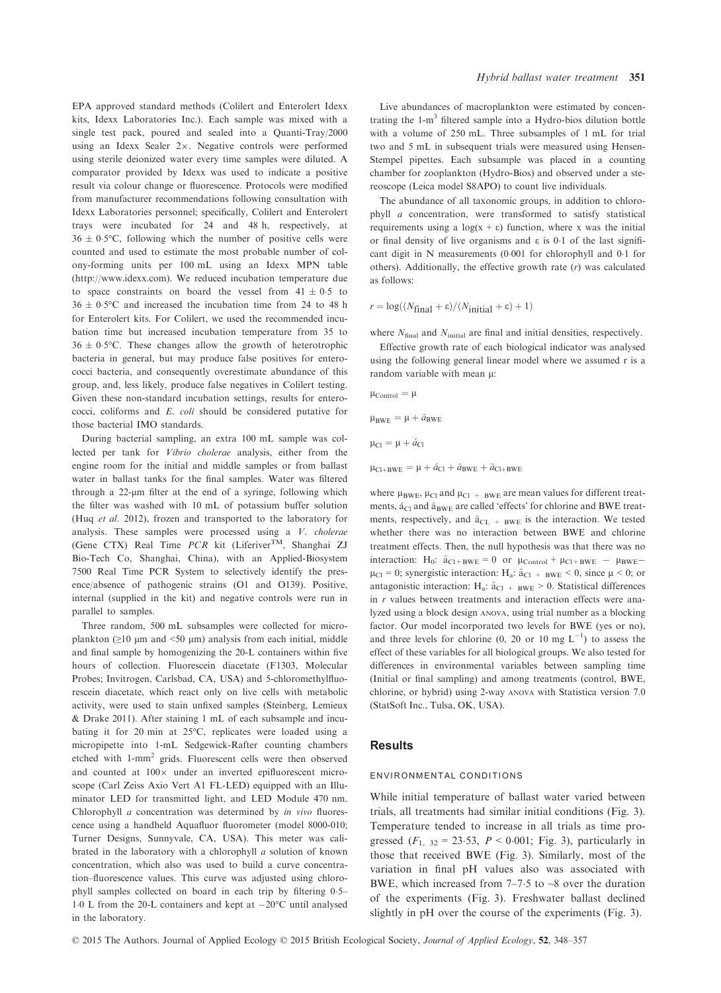EPA approved standard methods (Colilert and Enterolert Idexx kits, Idexx Laboratories Inc.). Each sample was mixed with a single test pack, poured and sealed into a Quanti-Tray/2000 using an Idexx Sealer  $2 \times$ . Negative controls were performed using sterile deionized water every time samples were diluted. A comparator provided by Idexx was used to indicate a positive result via colour change or fluorescence. Protocols were modified from manufacturer recommendations following consultation with Idexx Laboratories personnel; specifically, Colilert and Enterolert trays were incubated for 24 and 48 h, respectively, at  $36 \pm 0.5$ °C, following which the number of positive cells were counted and used to estimate the most probable number of colony-forming units per 100 mL using an Idexx MPN table [\(http://www.idexx.com\)](http://www.idexx.com). We reduced incubation temperature due to space constraints on board the vessel from  $41 \pm 0.5$  to  $36 \pm 0.5$ °C and increased the incubation time from 24 to 48 h for Enterolert kits. For Colilert, we used the recommended incubation time but increased incubation temperature from 35 to  $36 \pm 0.5$ °C. These changes allow the growth of heterotrophic bacteria in general, but may produce false positives for enterococci bacteria, and consequently overestimate abundance of this group, and, less likely, produce false negatives in Colilert testing. Given these non-standard incubation settings, results for enterococci, coliforms and E. coli should be considered putative for those bacterial IMO standards.

During bacterial sampling, an extra 100 mL sample was collected per tank for Vibrio cholerae analysis, either from the engine room for the initial and middle samples or from ballast water in ballast tanks for the final samples. Water was filtered through a 22-um filter at the end of a syringe, following which the filter was washed with 10 mL of potassium buffer solution (Huq et al. 2012), frozen and transported to the laboratory for analysis. These samples were processed using a V. cholerae (Gene CTX) Real Time PCR kit (LiferiverTM, Shanghai ZJ Bio-Tech Co, Shanghai, China), with an Applied-Biosystem 7500 Real Time PCR System to selectively identify the presence/absence of pathogenic strains (O1 and O139). Positive, internal (supplied in the kit) and negative controls were run in parallel to samples.

Three random, 500 mL subsamples were collected for microplankton ( $\geq$ 10 µm and <50 µm) analysis from each initial, middle and final sample by homogenizing the 20-L containers within five hours of collection. Fluorescein diacetate (F1303, Molecular Probes; Invitrogen, Carlsbad, CA, USA) and 5-chloromethylfluorescein diacetate, which react only on live cells with metabolic activity, were used to stain unfixed samples (Steinberg, Lemieux & Drake 2011). After staining 1 mL of each subsample and incubating it for 20 min at 25°C, replicates were loaded using a micropipette into 1-mL Sedgewick-Rafter counting chambers etched with 1-mm2 grids. Fluorescent cells were then observed and counted at  $100 \times$  under an inverted epifluorescent microscope (Carl Zeiss Axio Vert A1 FL-LED) equipped with an Illuminator LED for transmitted light, and LED Module 470 nm. Chlorophyll *a* concentration was determined by *in vivo* fluorescence using a handheld Aquafluor fluorometer (model 8000-010; Turner Designs, Sunnyvale, CA, USA). This meter was calibrated in the laboratory with a chlorophyll  $a$  solution of known concentration, which also was used to build a curve concentration–fluorescence values. This curve was adjusted using chlorophyll samples collected on board in each trip by filtering 0.5– 1.0 L from the 20-L containers and kept at  $-20^{\circ}$ C until analysed in the laboratory.

Live abundances of macroplankton were estimated by concentrating the  $1-m<sup>3</sup>$  filtered sample into a Hydro-bios dilution bottle with a volume of 250 mL. Three subsamples of 1 mL for trial two and 5 mL in subsequent trials were measured using Hensen-Stempel pipettes. Each subsample was placed in a counting chamber for zooplankton (Hydro-Bios) and observed under a stereoscope (Leica model S8APO) to count live individuals.

The abundance of all taxonomic groups, in addition to chlorophyll a concentration, were transformed to satisfy statistical requirements using a  $log(x + \varepsilon)$  function, where x was the initial or final density of live organisms and  $\varepsilon$  is 0.1 of the last significant digit in N measurements (0.001 for chlorophyll and 0.1 for others). Additionally, the effective growth rate  $(r)$  was calculated as follows:

$$
r = \log((N_{\text{final}} + \varepsilon)/(N_{\text{initial}} + \varepsilon) + 1)
$$

where  $N_{\text{final}}$  and  $N_{\text{initial}}$  are final and initial densities, respectively.

Effective growth rate of each biological indicator was analysed using the following general linear model where we assumed r is a random variable with mean  $\mu$ :

$$
\mu_{Control} = \mu
$$

 $\mu_{BWE} = \mu + \hat{a}_{BWE}$ 

$$
\mu_{Cl}=\mu+\acute{a}_{Cl}
$$

 $\mu_{\text{Cl+BWE}} = \mu + \hat{a}_{\text{Cl}} + \hat{a}_{\text{BWE}} + \tilde{a}_{\text{Cl+BWE}}$ 

where  $\mu_{BWE}$ ,  $\mu_{Cl}$  and  $\mu_{Cl}$  + BWE are mean values for different treatments,  $\acute{a}_{\text{Cl}}$  and  $\hat{a}_{\text{BWF}}$  are called 'effects' for chlorine and BWE treatments, respectively, and  $\tilde{a}_{CL + BWE}$  is the interaction. We tested whether there was no interaction between BWE and chlorine treatment effects. Then, the null hypothesis was that there was no interaction:  $H_0$ :  $\tilde{a}_{C1+BWE} = 0$  or  $\mu_{Control} + \mu_{C1+BWE} - \mu_{BWE}$  $\mu_{Cl} = 0$ ; synergistic interaction: H<sub>a</sub>:  $\tilde{a}_{Cl + BWE} < 0$ , since  $\mu < 0$ ; or antagonistic interaction: H<sub>a</sub>:  $\tilde{a}_{Cl + BWE} > 0$ . Statistical differences in r values between treatments and interaction effects were analyzed using a block design ANOVA, using trial number as a blocking factor. Our model incorporated two levels for BWE (yes or no), and three levels for chlorine (0, 20 or 10 mg  $L^{-1}$ ) to assess the effect of these variables for all biological groups. We also tested for differences in environmental variables between sampling time (Initial or final sampling) and among treatments (control, BWE, chlorine, or hybrid) using 2-way ANOVA with Statistica version 7.0 (StatSoft Inc., Tulsa, OK, USA).

#### **Results**

#### ENVIRONMENTAL CONDITIONS

While initial temperature of ballast water varied between trials, all treatments had similar initial conditions (Fig. 3). Temperature tended to increase in all trials as time progressed  $(F_1, 32 = 23.53, P < 0.001;$  Fig. 3), particularly in those that received BWE (Fig. 3). Similarly, most of the variation in final pH values also was associated with BWE, which increased from  $7-7.5$  to  $\sim 8$  over the duration of the experiments (Fig. 3). Freshwater ballast declined slightly in pH over the course of the experiments (Fig. 3).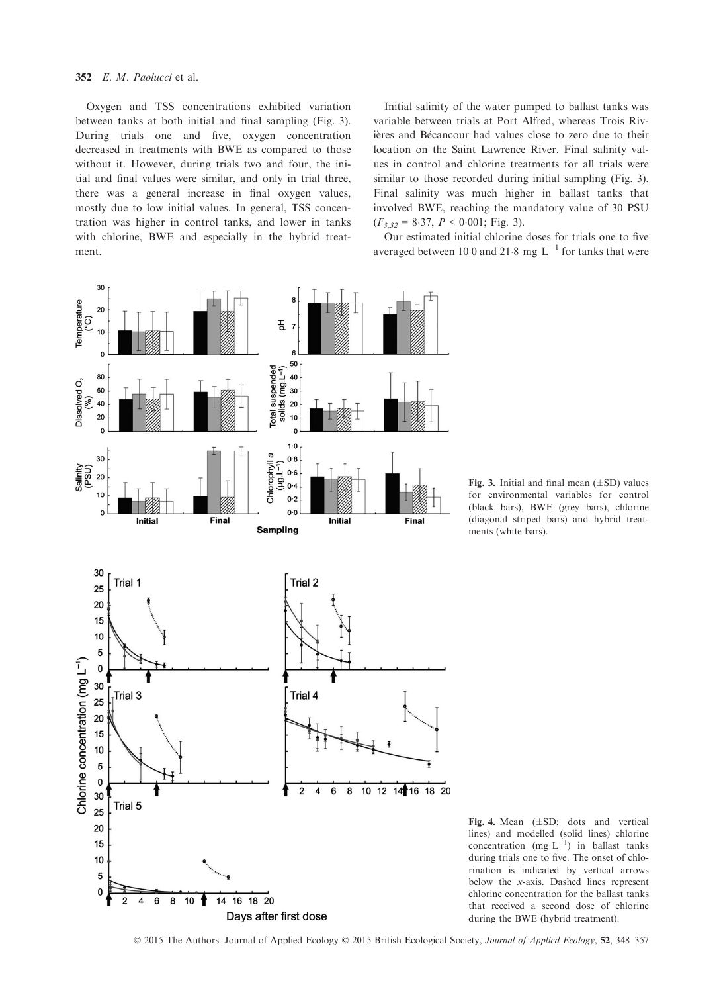#### 352 E. M. Paolucci et al.

Oxygen and TSS concentrations exhibited variation between tanks at both initial and final sampling (Fig. 3). During trials one and five, oxygen concentration decreased in treatments with BWE as compared to those without it. However, during trials two and four, the initial and final values were similar, and only in trial three, there was a general increase in final oxygen values, mostly due to low initial values. In general, TSS concentration was higher in control tanks, and lower in tanks with chlorine, BWE and especially in the hybrid treatment.

Initial salinity of the water pumped to ballast tanks was variable between trials at Port Alfred, whereas Trois Rivières and Bécancour had values close to zero due to their location on the Saint Lawrence River. Final salinity values in control and chlorine treatments for all trials were similar to those recorded during initial sampling (Fig. 3). Final salinity was much higher in ballast tanks that involved BWE, reaching the mandatory value of 30 PSU  $(F_{3,32} = 8.37, P < 0.001;$  Fig. 3).

Our estimated initial chlorine doses for trials one to five averaged between 10.0 and 21.8 mg  $L^{-1}$  for tanks that were



Fig. 3. Initial and final mean  $(\pm SD)$  values for environmental variables for control (black bars), BWE (grey bars), chlorine (diagonal striped bars) and hybrid treatments (white bars).

Fig. 4. Mean  $(\pm SD;$  dots and vertical lines) and modelled (solid lines) chlorine concentration (mg  $L^{-1}$ ) in ballast tanks during trials one to five. The onset of chlorination is indicated by vertical arrows below the x-axis. Dashed lines represent chlorine concentration for the ballast tanks that received a second dose of chlorine during the BWE (hybrid treatment).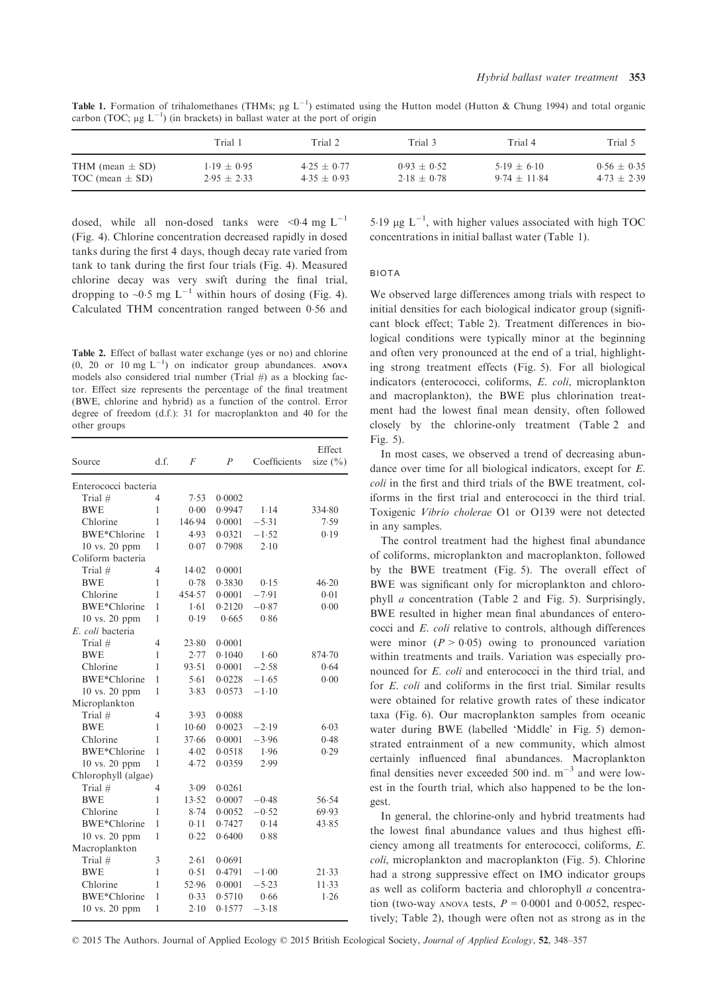|                     | Trial 1       | Trial 2       | Trial 3       | Trial 4        | Trial 5         |
|---------------------|---------------|---------------|---------------|----------------|-----------------|
| THM (mean $\pm$ SD) | $1.19 + 0.95$ | $4.25 + 0.77$ | $0.93 + 0.52$ | $5.19 + 6.10$  | $0.56 \pm 0.35$ |
| TOC (mean $\pm$ SD) | $2.95 + 2.33$ | $4.35 + 0.93$ | $2.18 + 0.78$ | $9.74 + 11.84$ | $4.73 + 2.39$   |

**Table 1.** Formation of trihalomethanes (THMs;  $\mu$ g L<sup>-1</sup>) estimated using the Hutton model (Hutton & Chung 1994) and total organic carbon (TOC:  $\mu$ g L<sup>-1</sup>) (in brackets) in ballast water at the port of origin carbon (TOC;  $\mu$ g L<sup>-1</sup>) (in brackets) in ballast water at the port of origin

dosed, while all non-dosed tanks were <0.4 mg  $L^{-1}$ (Fig. 4). Chlorine concentration decreased rapidly in dosed tanks during the first 4 days, though decay rate varied from tank to tank during the first four trials (Fig. 4). Measured chlorine decay was very swift during the final trial, dropping to  $\sim 0.5$  mg L<sup>-1</sup> within hours of dosing (Fig. 4). Calculated THM concentration ranged between 056 and

Table 2. Effect of ballast water exchange (yes or no) and chlorine  $(0, 20 \text{ or } 10 \text{ mg L}^{-1})$  on indicator group abundances. ANOVA models also considered trial number (Trial  $#$ ) as a blocking factor. Effect size represents the percentage of the final treatment (BWE, chlorine and hybrid) as a function of the control. Error degree of freedom (d.f.): 31 for macroplankton and 40 for the other groups

| Source               | d.f.           | F      | $\overline{P}$ | Coefficients | Effect<br>size $(\% )$ |
|----------------------|----------------|--------|----------------|--------------|------------------------|
| Enterococci bacteria |                |        |                |              |                        |
| Trial $#$            | 4              | 7.53   | 0.0002         |              |                        |
| <b>BWE</b>           | 1              | 0.00   | 0.9947         | 1.14         | 334.80                 |
| Chlorine             | 1              | 146.94 | 0.0001         | $-5.31$      | 7.59                   |
| <b>BWE*Chlorine</b>  | 1              | 4.93   | 0.0321         | $-1.52$      | 0.19                   |
| 10 vs. 20 ppm        | 1              | 0.07   | 0.7908         | 2.10         |                        |
| Coliform bacteria    |                |        |                |              |                        |
| Trial $#$            | $\overline{4}$ | 14.02  | 0.0001         |              |                        |
| <b>BWE</b>           | $\mathbf{1}$   | 0.78   | 0.3830         | 0.15         | 46.20                  |
| Chlorine             | 1              | 454.57 | 0.0001         | $-7.91$      | 0.01                   |
| BWE*Chlorine         | 1              | 1.61   | 0.2120         | $-0.87$      | 0.00                   |
| 10 vs. 20 ppm        | 1              | 0.19   | 0.665          | 0.86         |                        |
| E. coli bacteria     |                |        |                |              |                        |
| Trial #              | $\overline{4}$ | 23.80  | 0.0001         |              |                        |
| BWE                  | 1              | 2.77   | 0.1040         | 1.60         | 874.70                 |
| Chlorine             | $\mathbf{1}$   | 93.51  | 0.0001         | $-2.58$      | 0.64                   |
| <b>BWE*Chlorine</b>  | 1              | 5.61   | 0.0228         | $-1.65$      | 0.00                   |
| $10$ vs. $20$ ppm    | 1              | 3.83   | 0.0573         | $-1.10$      |                        |
| Microplankton        |                |        |                |              |                        |
| Trial #              | 4              | 3.93   | 0.0088         |              |                        |
| <b>BWE</b>           | 1              | 10.60  | 0.0023         | $-2.19$      | 6.03                   |
| Chlorine             | 1              | 37.66  | 0.0001         | $-3.96$      | 0.48                   |
| BWE*Chlorine         | 1              | 4.02   | 0.0518         | 1.96         | 0.29                   |
| $10$ vs. $20$ ppm    | 1              | 4.72   | 0.0359         | 2.99         |                        |
| Chlorophyll (algae)  |                |        |                |              |                        |
| Trial #              | $\overline{4}$ | 3.09   | 0.0261         |              |                        |
| <b>BWE</b>           | 1              | 13.52  | 0.0007         | $-0.48$      | 56.54                  |
| Chlorine             | $\mathbf{1}$   | 8.74   | 0.0052         | $-0.52$      | 69.93                  |
| BWE*Chlorine         | $\mathbf{1}$   | 0.11   | 0.7427         | 0.14         | 43.85                  |
| 10 vs. 20 ppm        | $\mathbf{1}$   | 0.22   | 0.6400         | 0.88         |                        |
| Macroplankton        |                |        |                |              |                        |
| Trial $#$            | 3              | 2.61   | 0.0691         |              |                        |
| <b>BWE</b>           | 1              | 0.51   | 0.4791         | $-1.00$      | 21.33                  |
| Chlorine             | 1              | 52.96  | 0.0001         | $-5.23$      | 11.33                  |
| BWE*Chlorine         | 1              | 0.33   | 0.5710         | 0.66         | 1.26                   |
| 10 vs. 20 ppm        | 1              | 2.10   | 0.1577         | $-3.18$      |                        |

5.19  $\mu$ g L<sup>-1</sup>, with higher values associated with high TOC concentrations in initial ballast water (Table 1).

#### BIOTA

We observed large differences among trials with respect to initial densities for each biological indicator group (significant block effect; Table 2). Treatment differences in biological conditions were typically minor at the beginning and often very pronounced at the end of a trial, highlighting strong treatment effects (Fig. 5). For all biological indicators (enterococci, coliforms, E. coli, microplankton and macroplankton), the BWE plus chlorination treatment had the lowest final mean density, often followed closely by the chlorine-only treatment (Table 2 and Fig. 5).

In most cases, we observed a trend of decreasing abundance over time for all biological indicators, except for E. coli in the first and third trials of the BWE treatment, coliforms in the first trial and enterococci in the third trial. Toxigenic Vibrio cholerae O1 or O139 were not detected in any samples.

The control treatment had the highest final abundance of coliforms, microplankton and macroplankton, followed by the BWE treatment (Fig. 5). The overall effect of BWE was significant only for microplankton and chlorophyll a concentration (Table 2 and Fig. 5). Surprisingly, BWE resulted in higher mean final abundances of enterococci and E. coli relative to controls, although differences were minor  $(P > 0.05)$  owing to pronounced variation within treatments and trails. Variation was especially pronounced for E. coli and enterococci in the third trial, and for E. coli and coliforms in the first trial. Similar results were obtained for relative growth rates of these indicator taxa (Fig. 6). Our macroplankton samples from oceanic water during BWE (labelled 'Middle' in Fig. 5) demonstrated entrainment of a new community, which almost certainly influenced final abundances. Macroplankton final densities never exceeded 500 ind.  $m^{-3}$  and were lowest in the fourth trial, which also happened to be the longest.

In general, the chlorine-only and hybrid treatments had the lowest final abundance values and thus highest efficiency among all treatments for enterococci, coliforms, E. coli, microplankton and macroplankton (Fig. 5). Chlorine had a strong suppressive effect on IMO indicator groups as well as coliform bacteria and chlorophyll a concentration (two-way ANOVA tests,  $P = 0.0001$  and 0.0052, respectively; Table 2), though were often not as strong as in the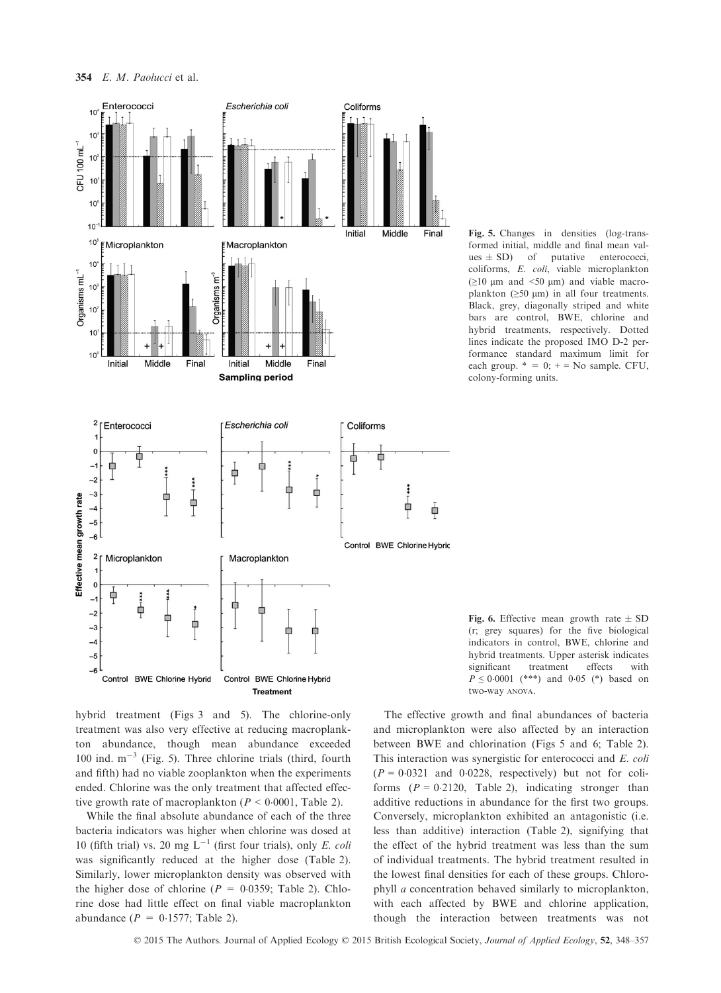

Fig. 5. Changes in densities (log-transformed initial, middle and final mean values  $\pm$  SD) of putative enterococci, coliforms, E. coli, viable microplankton  $(\geq 10 \mu m$  and <50  $\mu m$ ) and viable macroplankton  $(≥50 \mu m)$  in all four treatments. Black, grey, diagonally striped and white bars are control, BWE, chlorine and hybrid treatments, respectively. Dotted lines indicate the proposed IMO D-2 performance standard maximum limit for each group.  $* = 0$ ;  $+ =$  No sample. CFU, colony-forming units.

Fig. 6. Effective mean growth rate  $\pm$  SD (r; grey squares) for the five biological indicators in control, BWE, chlorine and hybrid treatments. Upper asterisk indicates significant treatment effects with  $P \le 0.0001$  (\*\*\*) and 0.05 (\*) based on two-way ANOVA.

hybrid treatment (Figs 3 and 5). The chlorine-only treatment was also very effective at reducing macroplankton abundance, though mean abundance exceeded 100 ind.  $m^{-3}$  (Fig. 5). Three chlorine trials (third, fourth and fifth) had no viable zooplankton when the experiments ended. Chlorine was the only treatment that affected effective growth rate of macroplankton ( $P < 0.0001$ , Table 2).

While the final absolute abundance of each of the three bacteria indicators was higher when chlorine was dosed at 10 (fifth trial) vs. 20 mg  $L^{-1}$  (first four trials), only E. coli was significantly reduced at the higher dose (Table 2). Similarly, lower microplankton density was observed with the higher dose of chlorine ( $P = 0.0359$ ; Table 2). Chlorine dose had little effect on final viable macroplankton abundance ( $P = 0.1577$ ; Table 2).

The effective growth and final abundances of bacteria and microplankton were also affected by an interaction between BWE and chlorination (Figs 5 and 6; Table 2). This interaction was synergistic for enterococci and E. coli  $(P = 0.0321$  and 0.0228, respectively) but not for coliforms  $(P = 0.2120,$  Table 2), indicating stronger than additive reductions in abundance for the first two groups. Conversely, microplankton exhibited an antagonistic (i.e. less than additive) interaction (Table 2), signifying that the effect of the hybrid treatment was less than the sum of individual treatments. The hybrid treatment resulted in the lowest final densities for each of these groups. Chlorophyll a concentration behaved similarly to microplankton, with each affected by BWE and chlorine application, though the interaction between treatments was not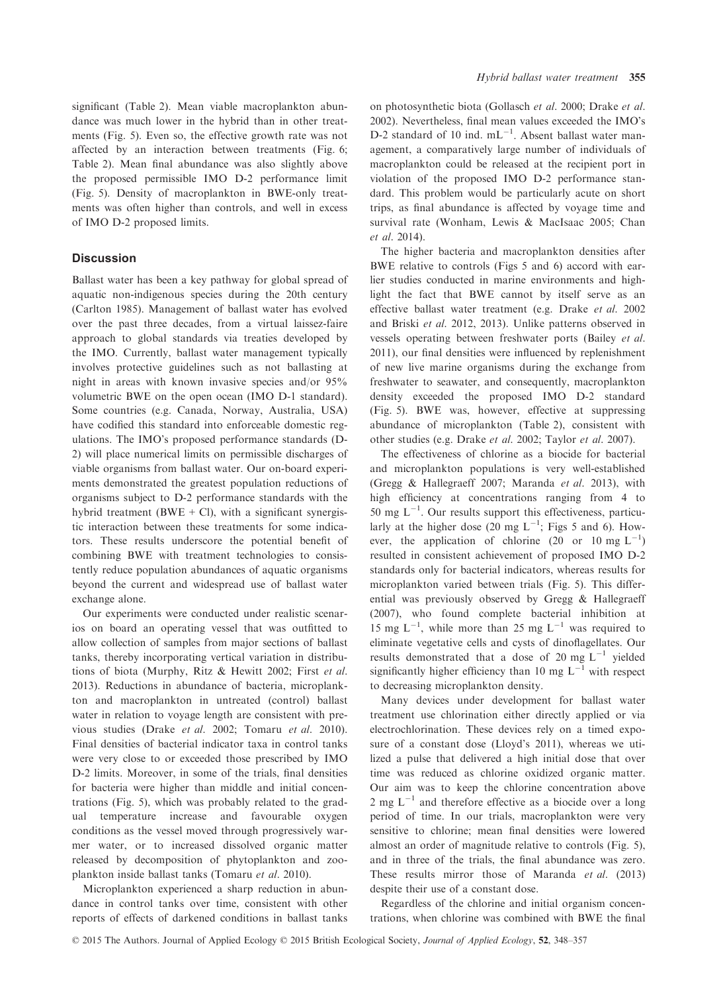significant (Table 2). Mean viable macroplankton abundance was much lower in the hybrid than in other treatments (Fig. 5). Even so, the effective growth rate was not affected by an interaction between treatments (Fig. 6; Table 2). Mean final abundance was also slightly above the proposed permissible IMO D-2 performance limit (Fig. 5). Density of macroplankton in BWE-only treatments was often higher than controls, and well in excess of IMO D-2 proposed limits.

## **Discussion**

Ballast water has been a key pathway for global spread of aquatic non-indigenous species during the 20th century (Carlton 1985). Management of ballast water has evolved over the past three decades, from a virtual laissez-faire approach to global standards via treaties developed by the IMO. Currently, ballast water management typically involves protective guidelines such as not ballasting at night in areas with known invasive species and/or 95% volumetric BWE on the open ocean (IMO D-1 standard). Some countries (e.g. Canada, Norway, Australia, USA) have codified this standard into enforceable domestic regulations. The IMO's proposed performance standards (D-2) will place numerical limits on permissible discharges of viable organisms from ballast water. Our on-board experiments demonstrated the greatest population reductions of organisms subject to D-2 performance standards with the hybrid treatment (BWE + Cl), with a significant synergistic interaction between these treatments for some indicators. These results underscore the potential benefit of combining BWE with treatment technologies to consistently reduce population abundances of aquatic organisms beyond the current and widespread use of ballast water exchange alone.

Our experiments were conducted under realistic scenarios on board an operating vessel that was outfitted to allow collection of samples from major sections of ballast tanks, thereby incorporating vertical variation in distributions of biota (Murphy, Ritz & Hewitt 2002; First et al. 2013). Reductions in abundance of bacteria, microplankton and macroplankton in untreated (control) ballast water in relation to voyage length are consistent with previous studies (Drake et al. 2002; Tomaru et al. 2010). Final densities of bacterial indicator taxa in control tanks were very close to or exceeded those prescribed by IMO D-2 limits. Moreover, in some of the trials, final densities for bacteria were higher than middle and initial concentrations (Fig. 5), which was probably related to the gradual temperature increase and favourable oxygen conditions as the vessel moved through progressively warmer water, or to increased dissolved organic matter released by decomposition of phytoplankton and zooplankton inside ballast tanks (Tomaru et al. 2010).

Microplankton experienced a sharp reduction in abundance in control tanks over time, consistent with other reports of effects of darkened conditions in ballast tanks

on photosynthetic biota (Gollasch et al. 2000; Drake et al. 2002). Nevertheless, final mean values exceeded the IMO's D-2 standard of 10 ind.  $mL^{-1}$ . Absent ballast water management, a comparatively large number of individuals of macroplankton could be released at the recipient port in violation of the proposed IMO D-2 performance standard. This problem would be particularly acute on short trips, as final abundance is affected by voyage time and survival rate (Wonham, Lewis & MacIsaac 2005; Chan et al. 2014).

The higher bacteria and macroplankton densities after BWE relative to controls (Figs 5 and 6) accord with earlier studies conducted in marine environments and highlight the fact that BWE cannot by itself serve as an effective ballast water treatment (e.g. Drake et al. 2002 and Briski et al. 2012, 2013). Unlike patterns observed in vessels operating between freshwater ports (Bailey et al. 2011), our final densities were influenced by replenishment of new live marine organisms during the exchange from freshwater to seawater, and consequently, macroplankton density exceeded the proposed IMO D-2 standard (Fig. 5). BWE was, however, effective at suppressing abundance of microplankton (Table 2), consistent with other studies (e.g. Drake et al. 2002; Taylor et al. 2007).

The effectiveness of chlorine as a biocide for bacterial and microplankton populations is very well-established (Gregg & Hallegraeff 2007; Maranda et al. 2013), with high efficiency at concentrations ranging from 4 to 50 mg  $L^{-1}$ . Our results support this effectiveness, particularly at the higher dose (20 mg  $L^{-1}$ ; Figs 5 and 6). However, the application of chlorine (20 or 10 mg  $L^{-1}$ ) resulted in consistent achievement of proposed IMO D-2 standards only for bacterial indicators, whereas results for microplankton varied between trials (Fig. 5). This differential was previously observed by Gregg & Hallegraeff (2007), who found complete bacterial inhibition at 15 mg  $L^{-1}$ , while more than 25 mg  $L^{-1}$  was required to eliminate vegetative cells and cysts of dinoflagellates. Our results demonstrated that a dose of 20 mg  $L^{-1}$  yielded significantly higher efficiency than 10 mg  $L^{-1}$  with respect to decreasing microplankton density.

Many devices under development for ballast water treatment use chlorination either directly applied or via electrochlorination. These devices rely on a timed exposure of a constant dose (Lloyd's 2011), whereas we utilized a pulse that delivered a high initial dose that over time was reduced as chlorine oxidized organic matter. Our aim was to keep the chlorine concentration above 2 mg  $L^{-1}$  and therefore effective as a biocide over a long period of time. In our trials, macroplankton were very sensitive to chlorine; mean final densities were lowered almost an order of magnitude relative to controls (Fig. 5), and in three of the trials, the final abundance was zero. These results mirror those of Maranda et al. (2013) despite their use of a constant dose.

Regardless of the chlorine and initial organism concentrations, when chlorine was combined with BWE the final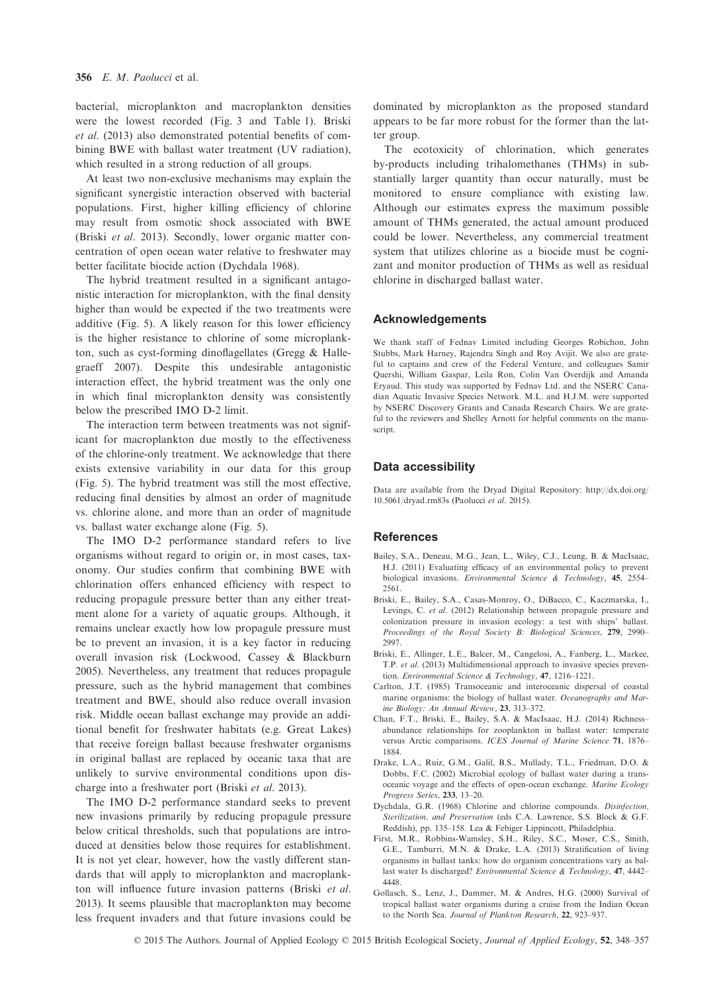bacterial, microplankton and macroplankton densities were the lowest recorded (Fig. 3 and Table 1). Briski et al. (2013) also demonstrated potential benefits of combining BWE with ballast water treatment (UV radiation), which resulted in a strong reduction of all groups.

At least two non-exclusive mechanisms may explain the significant synergistic interaction observed with bacterial populations. First, higher killing efficiency of chlorine may result from osmotic shock associated with BWE (Briski et al. 2013). Secondly, lower organic matter concentration of open ocean water relative to freshwater may better facilitate biocide action (Dychdala 1968).

The hybrid treatment resulted in a significant antagonistic interaction for microplankton, with the final density higher than would be expected if the two treatments were additive (Fig. 5). A likely reason for this lower efficiency is the higher resistance to chlorine of some microplankton, such as cyst-forming dinoflagellates (Gregg & Hallegraeff 2007). Despite this undesirable antagonistic interaction effect, the hybrid treatment was the only one in which final microplankton density was consistently below the prescribed IMO D-2 limit.

The interaction term between treatments was not significant for macroplankton due mostly to the effectiveness of the chlorine-only treatment. We acknowledge that there exists extensive variability in our data for this group (Fig. 5). The hybrid treatment was still the most effective, reducing final densities by almost an order of magnitude vs. chlorine alone, and more than an order of magnitude vs. ballast water exchange alone (Fig. 5).

The IMO D-2 performance standard refers to live organisms without regard to origin or, in most cases, taxonomy. Our studies confirm that combining BWE with chlorination offers enhanced efficiency with respect to reducing propagule pressure better than any either treatment alone for a variety of aquatic groups. Although, it remains unclear exactly how low propagule pressure must be to prevent an invasion, it is a key factor in reducing overall invasion risk (Lockwood, Cassey & Blackburn 2005). Nevertheless, any treatment that reduces propagule pressure, such as the hybrid management that combines treatment and BWE, should also reduce overall invasion risk. Middle ocean ballast exchange may provide an additional benefit for freshwater habitats (e.g. Great Lakes) that receive foreign ballast because freshwater organisms in original ballast are replaced by oceanic taxa that are unlikely to survive environmental conditions upon discharge into a freshwater port (Briski et al. 2013).

The IMO D-2 performance standard seeks to prevent new invasions primarily by reducing propagule pressure below critical thresholds, such that populations are introduced at densities below those requires for establishment. It is not yet clear, however, how the vastly different standards that will apply to microplankton and macroplankton will influence future invasion patterns (Briski et al. 2013). It seems plausible that macroplankton may become less frequent invaders and that future invasions could be dominated by microplankton as the proposed standard appears to be far more robust for the former than the latter group.

The ecotoxicity of chlorination, which generates by-products including trihalomethanes (THMs) in substantially larger quantity than occur naturally, must be monitored to ensure compliance with existing law. Although our estimates express the maximum possible amount of THMs generated, the actual amount produced could be lower. Nevertheless, any commercial treatment system that utilizes chlorine as a biocide must be cognizant and monitor production of THMs as well as residual chlorine in discharged ballast water.

#### Acknowledgements

We thank staff of Fednav Limited including Georges Robichon, John Stubbs, Mark Harney, Rajendra Singh and Roy Avijit. We also are grateful to captains and crew of the Federal Venture, and colleagues Samir Quershi, William Gaspar, Leila Ron, Colin Van Overdijk and Amanda Eryaud. This study was supported by Fednav Ltd. and the NSERC Canadian Aquatic Invasive Species Network. M.L. and H.J.M. were supported by NSERC Discovery Grants and Canada Research Chairs. We are grateful to the reviewers and Shelley Arnott for helpful comments on the manuscript.

### Data accessibility

Data are available from the Dryad Digital Repository: [http://dx.doi.org/](http://dx.doi.org/10.5061/dryad.rm83s) [10.5061/dryad.rm83s](http://dx.doi.org/10.5061/dryad.rm83s) (Paolucci et al. 2015).

#### References

- Bailey, S.A., Deneau, M.G., Jean, L., Wiley, C.J., Leung, B. & MacIsaac, H.J. (2011) Evaluating efficacy of an environmental policy to prevent biological invasions. Environmental Science & Technology, 45, 2554– 2561.
- Briski, E., Bailey, S.A., Casas-Monroy, O., DiBacco, C., Kaczmarska, I., Levings, C. et al. (2012) Relationship between propagule pressure and colonization pressure in invasion ecology: a test with ships' ballast. Proceedings of the Royal Society B: Biological Sciences, 279, 2990– 2997.
- Briski, E., Allinger, L.E., Balcer, M., Cangelosi, A., Fanberg, L., Markee, T.P. et al. (2013) Multidimensional approach to invasive species prevention. Environmental Science & Technology, 47, 1216–1221.
- Carlton, J.T. (1985) Transoceanic and interoceanic dispersal of coastal marine organisms: the biology of ballast water. Oceanography and Marine Biology: An Annual Review, 23, 313–372.
- Chan, F.T., Briski, E., Bailey, S.A. & MacIsaac, H.J. (2014) Richness– abundance relationships for zooplankton in ballast water: temperate versus Arctic comparisons. ICES Journal of Marine Science 71, 1876– 1884.
- Drake, L.A., Ruiz, G.M., Galil, B.S., Mullady, T.L., Friedman, D.O. & Dobbs, F.C. (2002) Microbial ecology of ballast water during a transoceanic voyage and the effects of open-ocean exchange. Marine Ecology Progress Series, 233, 13–20.
- Dychdala, G.R. (1968) Chlorine and chlorine compounds. Disinfection, Sterilization, and Preservation (eds C.A. Lawrence, S.S. Block & G.F. Reddish), pp. 135–158. Lea & Febiger Lippincott, Philadelphia.
- First, M.R., Robbins-Wamsley, S.H., Riley, S.C., Moser, C.S., Smith, G.E., Tamburri, M.N. & Drake, L.A. (2013) Stratification of living organisms in ballast tanks: how do organism concentrations vary as ballast water Is discharged? Environmental Science & Technology, 47, 4442– 4448.
- Gollasch, S., Lenz, J., Dammer, M. & Andres, H.G. (2000) Survival of tropical ballast water organisms during a cruise from the Indian Ocean to the North Sea. Journal of Plankton Research, 22, 923–937.